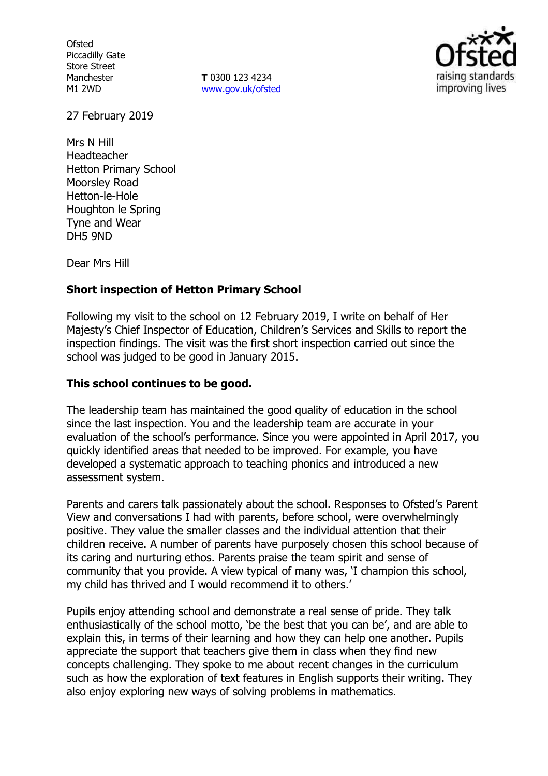**Ofsted** Piccadilly Gate Store Street Manchester M1 2WD

**T** 0300 123 4234 www.gov.uk/ofsted



27 February 2019

Mrs N Hill Headteacher Hetton Primary School Moorsley Road Hetton-le-Hole Houghton le Spring Tyne and Wear DH5 9ND

Dear Mrs Hill

## **Short inspection of Hetton Primary School**

Following my visit to the school on 12 February 2019, I write on behalf of Her Majesty's Chief Inspector of Education, Children's Services and Skills to report the inspection findings. The visit was the first short inspection carried out since the school was judged to be good in January 2015.

## **This school continues to be good.**

The leadership team has maintained the good quality of education in the school since the last inspection. You and the leadership team are accurate in your evaluation of the school's performance. Since you were appointed in April 2017, you quickly identified areas that needed to be improved. For example, you have developed a systematic approach to teaching phonics and introduced a new assessment system.

Parents and carers talk passionately about the school. Responses to Ofsted's Parent View and conversations I had with parents, before school, were overwhelmingly positive. They value the smaller classes and the individual attention that their children receive. A number of parents have purposely chosen this school because of its caring and nurturing ethos. Parents praise the team spirit and sense of community that you provide. A view typical of many was, 'I champion this school, my child has thrived and I would recommend it to others.'

Pupils enjoy attending school and demonstrate a real sense of pride. They talk enthusiastically of the school motto, 'be the best that you can be', and are able to explain this, in terms of their learning and how they can help one another. Pupils appreciate the support that teachers give them in class when they find new concepts challenging. They spoke to me about recent changes in the curriculum such as how the exploration of text features in English supports their writing. They also enjoy exploring new ways of solving problems in mathematics.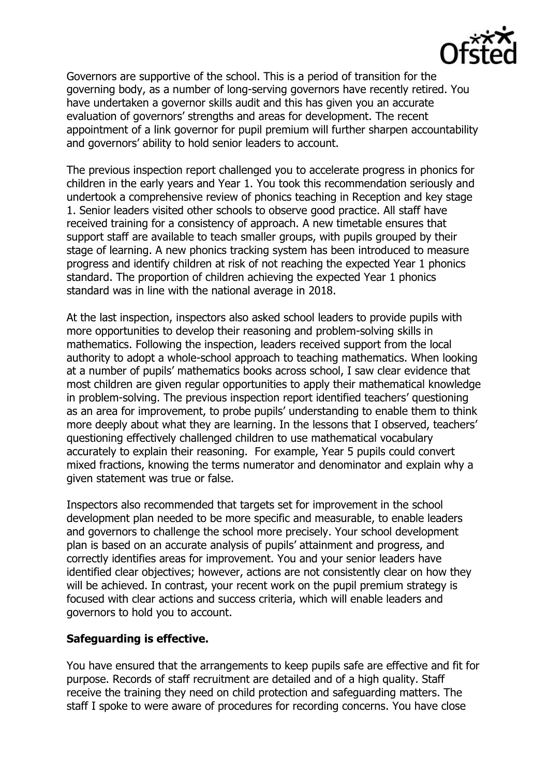

Governors are supportive of the school. This is a period of transition for the governing body, as a number of long-serving governors have recently retired. You have undertaken a governor skills audit and this has given you an accurate evaluation of governors' strengths and areas for development. The recent appointment of a link governor for pupil premium will further sharpen accountability and governors' ability to hold senior leaders to account.

The previous inspection report challenged you to accelerate progress in phonics for children in the early years and Year 1. You took this recommendation seriously and undertook a comprehensive review of phonics teaching in Reception and key stage 1. Senior leaders visited other schools to observe good practice. All staff have received training for a consistency of approach. A new timetable ensures that support staff are available to teach smaller groups, with pupils grouped by their stage of learning. A new phonics tracking system has been introduced to measure progress and identify children at risk of not reaching the expected Year 1 phonics standard. The proportion of children achieving the expected Year 1 phonics standard was in line with the national average in 2018.

At the last inspection, inspectors also asked school leaders to provide pupils with more opportunities to develop their reasoning and problem-solving skills in mathematics. Following the inspection, leaders received support from the local authority to adopt a whole-school approach to teaching mathematics. When looking at a number of pupils' mathematics books across school, I saw clear evidence that most children are given regular opportunities to apply their mathematical knowledge in problem-solving. The previous inspection report identified teachers' questioning as an area for improvement, to probe pupils' understanding to enable them to think more deeply about what they are learning. In the lessons that I observed, teachers' questioning effectively challenged children to use mathematical vocabulary accurately to explain their reasoning. For example, Year 5 pupils could convert mixed fractions, knowing the terms numerator and denominator and explain why a given statement was true or false.

Inspectors also recommended that targets set for improvement in the school development plan needed to be more specific and measurable, to enable leaders and governors to challenge the school more precisely. Your school development plan is based on an accurate analysis of pupils' attainment and progress, and correctly identifies areas for improvement. You and your senior leaders have identified clear objectives; however, actions are not consistently clear on how they will be achieved. In contrast, your recent work on the pupil premium strategy is focused with clear actions and success criteria, which will enable leaders and governors to hold you to account.

## **Safeguarding is effective.**

You have ensured that the arrangements to keep pupils safe are effective and fit for purpose. Records of staff recruitment are detailed and of a high quality. Staff receive the training they need on child protection and safeguarding matters. The staff I spoke to were aware of procedures for recording concerns. You have close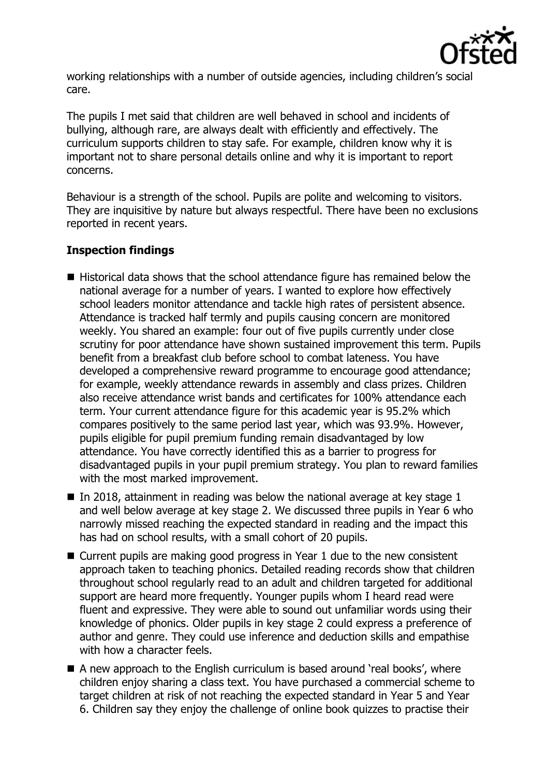

working relationships with a number of outside agencies, including children's social care.

The pupils I met said that children are well behaved in school and incidents of bullying, although rare, are always dealt with efficiently and effectively. The curriculum supports children to stay safe. For example, children know why it is important not to share personal details online and why it is important to report concerns.

Behaviour is a strength of the school. Pupils are polite and welcoming to visitors. They are inquisitive by nature but always respectful. There have been no exclusions reported in recent years.

# **Inspection findings**

- Historical data shows that the school attendance figure has remained below the national average for a number of years. I wanted to explore how effectively school leaders monitor attendance and tackle high rates of persistent absence. Attendance is tracked half termly and pupils causing concern are monitored weekly. You shared an example: four out of five pupils currently under close scrutiny for poor attendance have shown sustained improvement this term. Pupils benefit from a breakfast club before school to combat lateness. You have developed a comprehensive reward programme to encourage good attendance; for example, weekly attendance rewards in assembly and class prizes. Children also receive attendance wrist bands and certificates for 100% attendance each term. Your current attendance figure for this academic year is 95.2% which compares positively to the same period last year, which was 93.9%. However, pupils eligible for pupil premium funding remain disadvantaged by low attendance. You have correctly identified this as a barrier to progress for disadvantaged pupils in your pupil premium strategy. You plan to reward families with the most marked improvement.
- In 2018, attainment in reading was below the national average at key stage 1 and well below average at key stage 2. We discussed three pupils in Year 6 who narrowly missed reaching the expected standard in reading and the impact this has had on school results, with a small cohort of 20 pupils.
- Current pupils are making good progress in Year 1 due to the new consistent approach taken to teaching phonics. Detailed reading records show that children throughout school regularly read to an adult and children targeted for additional support are heard more frequently. Younger pupils whom I heard read were fluent and expressive. They were able to sound out unfamiliar words using their knowledge of phonics. Older pupils in key stage 2 could express a preference of author and genre. They could use inference and deduction skills and empathise with how a character feels.
- A new approach to the English curriculum is based around 'real books', where children enjoy sharing a class text. You have purchased a commercial scheme to target children at risk of not reaching the expected standard in Year 5 and Year 6. Children say they enjoy the challenge of online book quizzes to practise their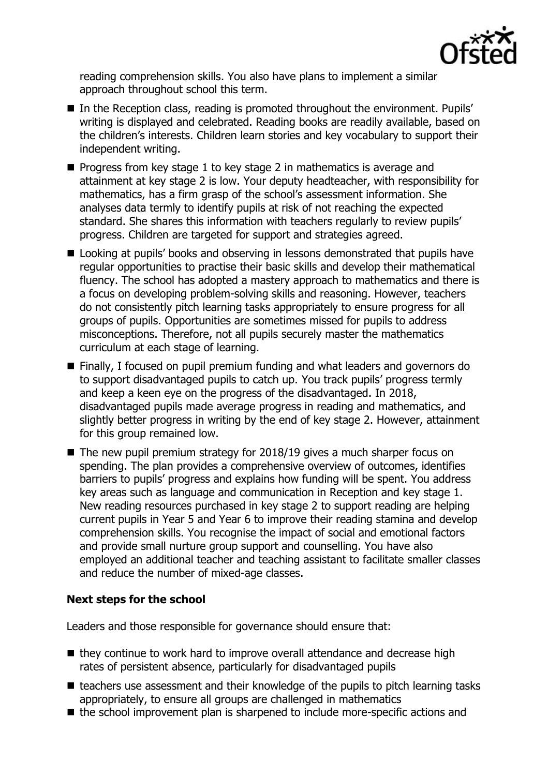

reading comprehension skills. You also have plans to implement a similar approach throughout school this term.

- In the Reception class, reading is promoted throughout the environment. Pupils' writing is displayed and celebrated. Reading books are readily available, based on the children's interests. Children learn stories and key vocabulary to support their independent writing.
- $\blacksquare$  Progress from key stage 1 to key stage 2 in mathematics is average and attainment at key stage 2 is low. Your deputy headteacher, with responsibility for mathematics, has a firm grasp of the school's assessment information. She analyses data termly to identify pupils at risk of not reaching the expected standard. She shares this information with teachers regularly to review pupils' progress. Children are targeted for support and strategies agreed.
- Looking at pupils' books and observing in lessons demonstrated that pupils have regular opportunities to practise their basic skills and develop their mathematical fluency. The school has adopted a mastery approach to mathematics and there is a focus on developing problem-solving skills and reasoning. However, teachers do not consistently pitch learning tasks appropriately to ensure progress for all groups of pupils. Opportunities are sometimes missed for pupils to address misconceptions. Therefore, not all pupils securely master the mathematics curriculum at each stage of learning.
- Finally, I focused on pupil premium funding and what leaders and governors do to support disadvantaged pupils to catch up. You track pupils' progress termly and keep a keen eye on the progress of the disadvantaged. In 2018, disadvantaged pupils made average progress in reading and mathematics, and slightly better progress in writing by the end of key stage 2. However, attainment for this group remained low.
- $\blacksquare$  The new pupil premium strategy for 2018/19 gives a much sharper focus on spending. The plan provides a comprehensive overview of outcomes, identifies barriers to pupils' progress and explains how funding will be spent. You address key areas such as language and communication in Reception and key stage 1. New reading resources purchased in key stage 2 to support reading are helping current pupils in Year 5 and Year 6 to improve their reading stamina and develop comprehension skills. You recognise the impact of social and emotional factors and provide small nurture group support and counselling. You have also employed an additional teacher and teaching assistant to facilitate smaller classes and reduce the number of mixed-age classes.

# **Next steps for the school**

Leaders and those responsible for governance should ensure that:

- they continue to work hard to improve overall attendance and decrease high rates of persistent absence, particularly for disadvantaged pupils
- $\blacksquare$  teachers use assessment and their knowledge of the pupils to pitch learning tasks appropriately, to ensure all groups are challenged in mathematics
- the school improvement plan is sharpened to include more-specific actions and